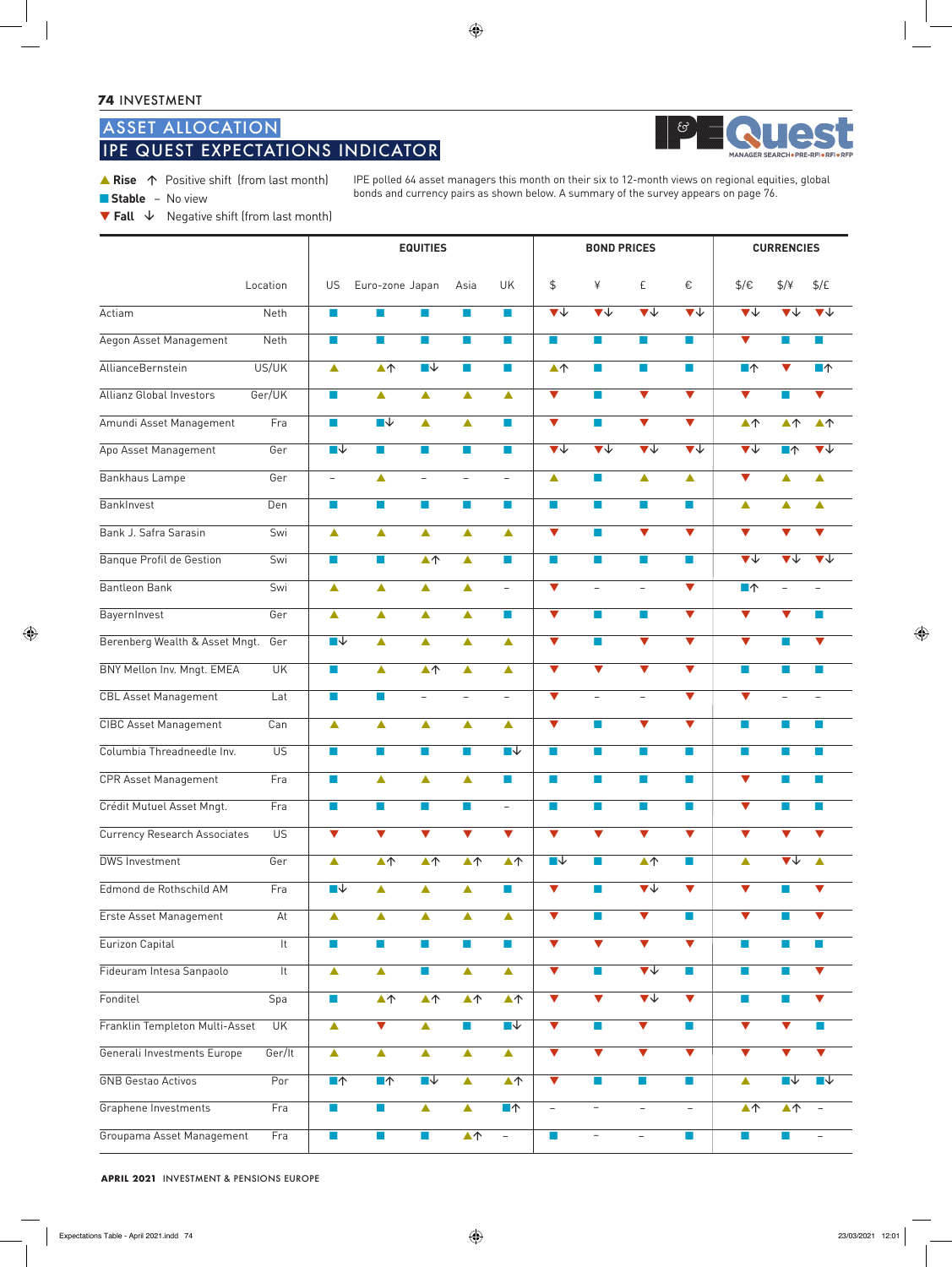# ASSET ALLOCATION IPE QUEST EXPECTATIONS INDICATOR



▲ Rise 个 Positive shift (from last month)

■ **Stable** –No view

IPE polled 64 asset managers this month on their six to 12-month views on regional equities, global bonds and currency pairs as shown below. A summary of the survey appears on page 76.

▼ **Fall** Negative shift (from last month)

|                                 |                        | <b>EQUITIES</b>                                |                                     |                                     |                                      |                                     |                                 | <b>BOND PRICES</b>                         |                                            |                                     | <b>CURRENCIES</b>                          |                                           |                                     |  |
|---------------------------------|------------------------|------------------------------------------------|-------------------------------------|-------------------------------------|--------------------------------------|-------------------------------------|---------------------------------|--------------------------------------------|--------------------------------------------|-------------------------------------|--------------------------------------------|-------------------------------------------|-------------------------------------|--|
|                                 | Location               | US                                             | Euro-zone Japan                     |                                     | Asia                                 | UK                                  | \$                              | ¥                                          | £                                          | €                                   | $\frac{1}{2}$                              | $\frac{4}{7}$                             | $\frac{f}{f}$                       |  |
| Actiam                          | Neth                   | п                                              | <b>The State</b>                    | П                                   | <b>The Second</b>                    | п                                   | $\overline{\blacktriangledown}$ | $\overline{\blacktriangledown}$            | $\overline{\blacktriangledown \Downarrow}$ | $\blacktriangledown \downarrow$     | $\overline{\blacktriangledown}$            | ▼↓                                        | $\blacktriangledown\downarrow$      |  |
| Aegon Asset Management          | <b>Neth</b>            | m.                                             | $\blacksquare$                      | m.                                  | m.                                   | m.                                  | m.                              | ×                                          | $\mathbb{R}^n$                             | $\sim$                              | $\blacktriangledown$                       | n                                         | <b>The State</b>                    |  |
| AllianceBernstein               | US/UK                  | $\blacktriangle$                               | $\blacktriangle \uparrow$           | ∏↓                                  | <b>I</b>                             | $\mathcal{L}_{\mathcal{A}}$         | $\blacktriangle \uparrow$       | T.                                         | <b>I</b>                                   | m.                                  | ■↑                                         | $\blacktriangledown$                      | $\blacksquare \uparrow$             |  |
| <b>Allianz Global Investors</b> | Ger/UK                 | m.                                             | ▲                                   | ▲                                   | ▲                                    | ▲                                   | $\blacktriangledown$            | ×                                          | $\blacktriangledown$                       | $\blacktriangledown$                | $\blacktriangledown$                       |                                           | $\blacktriangledown$                |  |
| Amundi Asset Management         | Fra                    | $\mathcal{L}_{\mathcal{A}}$                    | $\overline{\blacksquare\downarrow}$ | ▲                                   | ▲                                    | m.                                  | $\blacktriangledown$            | <b>COL</b>                                 | $\blacktriangledown$                       | $\blacktriangledown$                | $\blacktriangle \uparrow$                  | $\blacktriangle \uparrow$                 | $\blacktriangle \uparrow$           |  |
| Apo Asset Management            | Ger                    | $\overline{\phantom{a}}\overline{\phantom{a}}$ | a.                                  | m.                                  | <b>The State</b>                     | m.                                  | $\overline{\blacktriangledown}$ | $\overline{\blacktriangledown \downarrow}$ | $\overline{\blacktriangledown}$            | $\overline{\blacktriangledown\psi}$ | $\overline{\blacktriangledown \Downarrow}$ | ▔                                         | $\overline{\mathbf{v}}$             |  |
| Bankhaus Lampe                  | Ger                    | $\overline{\phantom{0}}$                       | ▲                                   | $\overline{\phantom{0}}$            | $\overline{\phantom{0}}$             | $\overline{\phantom{0}}$            | $\blacktriangle$                | <b>Ta</b>                                  | ▲                                          | $\blacktriangle$                    | $\blacktriangledown$                       | ▲                                         | ▲                                   |  |
| BankInvest                      | Den                    | m.                                             | m.                                  | $\mathcal{A}$                       | m.                                   | $\mathcal{L}_{\mathcal{A}}$         | <b>T</b>                        | T.                                         | $\mathcal{C}^{\mathcal{A}}$                | <b>The State</b>                    | $\blacktriangle$                           | ▲                                         | $\blacktriangle$                    |  |
| Bank J. Safra Sarasin           | Swi                    | $\blacktriangle$                               | ▲                                   | ▲                                   | ▲                                    | $\blacktriangle$                    | $\blacktriangledown$            | ×                                          | ▼                                          | $\blacktriangledown$                | $\blacktriangledown$                       | $\blacktriangledown$                      | $\blacktriangledown$                |  |
| Banque Profil de Gestion        | Swi                    | П                                              | <b>The State</b>                    | $\blacktriangle \uparrow$           | ▲                                    | П                                   | <b>COL</b>                      | ×                                          | m.                                         | $\sim$                              | $\overline{\blacktriangledown}$            | $\blacktriangledown \downarrow$           | $\overline{\blacktriangledown\psi}$ |  |
| <b>Bantleon Bank</b>            | Swi                    | ▲                                              | ▲                                   | ▲                                   | ▲                                    | $\overline{\phantom{0}}$            | $\blacktriangledown$            | $\overline{\phantom{a}}$                   | $\overline{\phantom{0}}$                   | $\blacktriangledown$                | $\blacksquare \uparrow$                    |                                           |                                     |  |
| BayernInvest                    | Ger                    | ▲                                              | ▲                                   | ▲                                   | ▲                                    | <b>College</b>                      | $\blacktriangledown$            | <b>COL</b>                                 | m,                                         | $\blacktriangledown$                | $\blacktriangledown$                       | $\blacktriangledown$                      | <b>COL</b>                          |  |
| Berenberg Wealth & Asset Mngt.  | Ger                    | ■↓                                             | $\blacktriangle$                    | ▲                                   | ▲                                    | $\blacktriangle$                    | $\overline{\textbf{v}}$         | m.                                         | $\overline{\blacktriangledown}$            | $\overline{\blacktriangledown}$     | $\overline{\blacktriangledown}$            | m.                                        | $\blacktriangledown$                |  |
| BNY Mellon Inv. Mngt. EMEA      | <b>UK</b>              | $\overline{\phantom{a}}$                       | $\blacktriangle$                    | $\blacktriangle \uparrow$           | ▲                                    | $\blacktriangle$                    | $\overline{\mathbf{v}}$         | $\blacktriangledown$                       | $\overline{\mathbf{v}}$                    | $\blacktriangledown$                | $\mathcal{L}$                              | F.                                        | $\mathcal{C}$                       |  |
| <b>CBL Asset Management</b>     | Lat                    | П                                              | <b>The State</b>                    | $\overline{\phantom{0}}$            | $\overline{\phantom{0}}$             | $\overline{\phantom{0}}$            | $\blacktriangledown$            | $\overline{\phantom{0}}$                   | $\overline{\phantom{0}}$                   | $\blacktriangledown$                | $\blacktriangledown$                       |                                           |                                     |  |
| <b>CIBC Asset Management</b>    | Can                    | $\blacktriangle$                               | $\blacktriangle$                    | ▲                                   | ▲                                    | ▲                                   | $\overline{\mathbf{v}}$         | <b>I</b>                                   | $\overline{\blacktriangledown}$            | $\overline{\mathbf{v}}$             | <b>I</b>                                   | m.                                        | <b>College</b>                      |  |
| Columbia Threadneedle Inv.      | $\overline{US}$        | ×                                              | <b>COL</b>                          | П                                   | m.                                   | $\overline{\phantom{a}}$            | m.                              | <b>College</b>                             | H                                          | <b>College</b>                      | <b>I</b>                                   | m.                                        | <b>The State</b>                    |  |
| <b>CPR Asset Management</b>     | Fra                    | m.                                             | ▲                                   | ▲                                   | ▲                                    | ×                                   | $\blacksquare$                  | a a                                        | m.                                         | m.                                  | $\blacktriangledown$                       | m.                                        | $\mathcal{L}_{\mathcal{A}}$         |  |
| Crédit Mutuel Asset Mngt.       | Fra                    | $\blacksquare$                                 | <b>The Second</b>                   | $\blacksquare$                      |                                      | $\overline{\phantom{0}}$            |                                 | a.                                         | <b>The Second Second</b>                   | <b>I</b>                            | $\blacktriangledown$                       |                                           |                                     |  |
| Currency Research Associates    | $\overline{US}$        | $\overline{\mathbf{v}}$                        | $\overline{\blacktriangledown}$     | $\overline{\mathbf{v}}$             | $\overline{\blacktriangledown}$      | $\overline{\blacktriangledown}$     | $\overline{\blacktriangledown}$ | $\overline{\blacktriangledown}$            | $\overline{\blacktriangledown}$            | $\overline{\blacktriangledown}$     | $\overline{\blacktriangledown}$            | $\blacktriangledown$                      | $\blacktriangledown$                |  |
| <b>DWS Investment</b>           | Ger                    | $\blacktriangle$                               | $\blacktriangle \uparrow$           | $\blacktriangle \uparrow$           | $\overline{\blacktriangle \uparrow}$ | $\blacktriangle \uparrow$           | $\overline{\phantom{a}}$        | п                                          | $\blacktriangle \uparrow$                  | <b>The State</b>                    | $\blacktriangle$                           | $\blacktriangledown\downarrow$            | $\blacktriangle$                    |  |
| Edmond de Rothschild AM         | Fra                    | $\overline{\phantom{a}}$                       | $\blacktriangle$                    | ▲                                   | ▲                                    | <b>I</b>                            | $\overline{\blacktriangledown}$ | <b>T</b>                                   | $\overline{\blacktriangledown\psi}$        | $\blacktriangledown$                | $\blacktriangledown$                       |                                           | $\blacktriangledown$                |  |
| Erste Asset Management          | At                     | $\blacktriangle$                               | $\blacktriangle$                    | $\blacktriangle$                    | ▲                                    | $\blacktriangle$                    | $\overline{\blacktriangledown}$ | $\mathcal{L}_{\mathcal{A}}$                | $\overline{\blacktriangledown}$            | $\mathcal{C}^{\mathcal{A}}$         | $\overline{\blacktriangledown}$            | m.                                        | $\overline{\textbf{v}}$             |  |
| Eurizon Capital                 | $\overline{t}$         | $\mathcal{L}_{\mathcal{A}}$                    | $\mathbb{R}^n$                      | $\mathcal{L}_{\mathcal{A}}$         | $\mathcal{L}_{\mathcal{A}}$          | $\mathcal{A}$                       | $\overline{\blacktriangledown}$ | $\overline{\mathbf{v}}$                    | $\overline{\blacktriangledown}$            | $\overline{\blacktriangledown}$     | $\Box$                                     | $\mathcal{C}^{\mathcal{A}}_{\mathcal{A}}$ | $\mathcal{A}$                       |  |
| Fideuram Intesa Sanpaolo        | $\overline{\text{It}}$ | $\blacktriangle$                               | $\blacktriangle$                    | $\mathcal{L}_{\mathcal{A}}$         | ▲                                    | $\blacktriangle$                    | $\blacktriangledown$            | $\mathcal{L}_{\mathcal{A}}$                | $\overline{\mathbf{v}}$                    | $\blacksquare$                      | $\blacksquare$                             | m.                                        | $\blacktriangledown$                |  |
| Fonditel                        | Spa                    | $\mathcal{A}$                                  | $\blacktriangle \uparrow$           | $\blacktriangle \uparrow$           | $\blacktriangle \uparrow$            | $\blacktriangle \uparrow$           | $\blacktriangledown$            | $\overline{\blacktriangledown}$            | $\blacktriangledown\downarrow$             | $\overline{\blacktriangledown}$     | $\overline{\phantom{a}}$                   | m.                                        | $\blacktriangledown$                |  |
| Franklin Templeton Multi-Asset  | <b>UK</b>              | $\blacktriangle$                               | $\blacktriangledown$                | $\blacktriangle$                    | $\sim$                               | $\overline{\blacksquare\downarrow}$ | $\overline{\blacktriangledown}$ | $\mathcal{L}_{\mathcal{A}}$                | $\overline{\blacktriangledown}$            | $\sim$                              | $\overline{\blacktriangledown}$            | $\blacktriangledown$                      | <b>College</b>                      |  |
| Generali Investments Europe     | Ger/It                 | $\blacktriangle$                               | $\blacktriangle$                    | $\blacktriangle$                    | ▲                                    | $\blacktriangle$                    | $\overline{\blacktriangledown}$ | $\overline{\mathbf{v}}$                    | $\blacktriangledown$                       | $\blacktriangledown$                | $\overline{\blacktriangledown}$            | $\blacktriangledown$                      | $\blacktriangledown$                |  |
| <b>GNB Gestao Activos</b>       | Por                    | $\blacksquare \uparrow$                        | $\blacksquare \uparrow$             | $\overline{\blacksquare\downarrow}$ | $\blacktriangle$                     | $\blacktriangle \uparrow$           | $\overline{\blacktriangledown}$ | $\mathcal{L}_{\mathcal{A}}$                | $\mathcal{L}_{\mathcal{A}}$                | <b>The Second</b>                   | $\blacktriangle$                           | ■↓                                        | $\overline{\blacksquare\downarrow}$ |  |
| Graphene Investments            | Fra                    | $\mathcal{L}_{\mathcal{A}}$                    | $\mathcal{A}$                       | $\blacktriangle$                    | $\blacktriangle$                     | $\blacksquare \uparrow$             | $\equiv$                        | $\overline{\phantom{a}}$                   | $\overline{\phantom{0}}$                   | $\overline{\phantom{a}}$            | $\blacktriangle \uparrow$                  | $\blacktriangle \uparrow$                 | $\overline{\phantom{a}}$            |  |
| Groupama Asset Management       | Fra                    | $\mathcal{L}_{\mathcal{A}}$                    | <b>In</b>                           | $\mathcal{C}$                       | $\blacktriangle \uparrow$            | $\overline{\phantom{0}}$            | <b>Ta</b>                       | $\qquad \qquad -$                          | $\overline{\phantom{0}}$                   | $\sim 10$                           | <b>The State</b>                           | <b>CONTRACTOR</b>                         | $\qquad \qquad -$                   |  |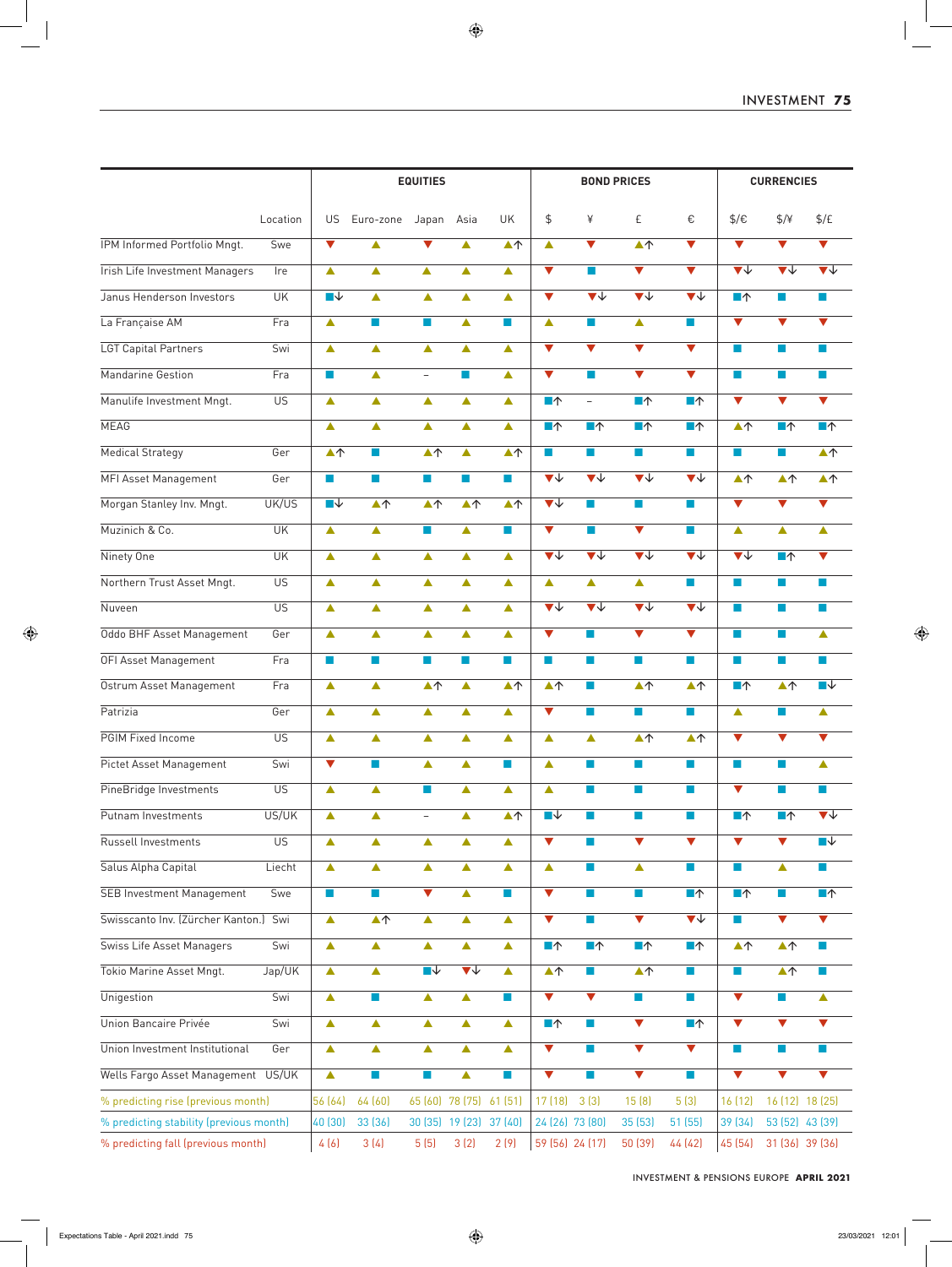|                                                                               |                 | <b>EQUITIES</b>             |                             |                             |                                            |                             |                                            | <b>BOND PRICES</b>                         | <b>CURRENCIES</b>                          |                                            |                                 |                                 |                                            |
|-------------------------------------------------------------------------------|-----------------|-----------------------------|-----------------------------|-----------------------------|--------------------------------------------|-----------------------------|--------------------------------------------|--------------------------------------------|--------------------------------------------|--------------------------------------------|---------------------------------|---------------------------------|--------------------------------------------|
|                                                                               | Location        | US                          | Euro-zone                   | Japan                       | Asia                                       | UK                          | $\frac{1}{2}$                              | ¥                                          | £                                          | €                                          | $\frac{1}{2}$                   | $\frac{4}{7}$                   | $\frac{f}{f}$                              |
| IPM Informed Portfolio Mngt.                                                  | Swe             | $\blacktriangledown$        | ▲                           | $\blacktriangledown$        | ▲                                          | $\blacktriangle \uparrow$   | $\blacktriangle$                           | $\blacktriangledown$                       | $\blacktriangle \uparrow$                  | $\blacktriangledown$                       | $\blacktriangledown$            | $\blacktriangledown$            | $\overline{\blacktriangledown}$            |
| <b>Irish Life Investment Managers</b>                                         | Ire             | ▲                           | ▲                           | ▲                           | ▲                                          | $\blacktriangle$            | $\blacktriangledown$                       | <b>I</b>                                   | $\blacktriangledown$                       | $\blacktriangledown$                       | $\blacktriangledown\downarrow$  | $\overline{\blacktriangledown}$ | $\overline{\blacktriangledown}$            |
| Janus Henderson Investors                                                     | UK              | ■↓                          | ▲                           | ▲                           | ▲                                          | ▲                           | $\blacktriangledown$                       | $\overline{\mathbf{v}}$                    | $\overline{\blacktriangledown}$            | $\overline{\mathbf{v}}$                    | $\blacksquare \uparrow$         | $\sim$                          | ×                                          |
| La Française AM                                                               | Fra             | $\blacktriangle$            | <b>Tale</b>                 | $\mathbb{R}^n$              | ▲                                          | m.                          | $\blacktriangle$                           | $\sim$                                     | $\blacktriangle$                           | <b>Ta</b>                                  | $\blacktriangledown$            | $\blacktriangledown$            | $\blacktriangledown$                       |
| LGT Capital Partners                                                          | Swi             | $\blacktriangle$            | ▲                           | $\blacktriangle$            | ▲                                          | $\blacktriangle$            | $\blacktriangledown$                       | $\blacktriangledown$                       | $\blacktriangledown$                       | $\blacktriangledown$                       | п                               | a a                             | <b>College</b>                             |
| <b>Mandarine Gestion</b>                                                      | Fra             | <b>COL</b>                  | ▲                           | $\overline{\phantom{0}}$    | <b>I</b>                                   | $\blacktriangle$            | $\blacktriangledown$                       | <b>Tale</b>                                | $\blacktriangledown$                       | $\blacktriangledown$                       | <b>College</b>                  |                                 | $\mathcal{L}$                              |
| Manulife Investment Mngt.                                                     | $\overline{US}$ | Δ                           | ▲                           | $\blacktriangle$            | ▲                                          | $\blacktriangle$            | $\blacksquare \uparrow$                    | $\overline{\phantom{0}}$                   | $\blacksquare \uparrow$                    | $\blacksquare \uparrow$                    | $\blacktriangledown$            | $\blacktriangledown$            | $\blacktriangledown$                       |
| <b>MEAG</b>                                                                   |                 | $\blacktriangle$            | $\blacktriangle$            | $\blacktriangle$            | ▲                                          | $\blacktriangle$            | $\blacksquare \uparrow$                    | $\blacksquare \uparrow$                    | $\blacksquare \uparrow$                    | $\blacksquare \uparrow$                    | $\blacktriangle \uparrow$       | $\blacksquare \uparrow$         | $\blacksquare \uparrow$                    |
| <b>Medical Strategy</b>                                                       | Ger             | $\blacktriangle \uparrow$   | <b>College</b>              | $\blacktriangle \uparrow$   | ▲                                          | $\blacktriangle \uparrow$   | m.                                         | <b>The State</b>                           | $\mathcal{C}^{\mathcal{A}}$                | $\mathcal{C}^{\mathcal{A}}$                | $\mathcal{L}_{\mathcal{A}}$     | $\sim$                          | $\blacktriangle \uparrow$                  |
| <b>MFI Asset Management</b>                                                   | Ger             | $\mathcal{C}^{\mathcal{A}}$ | a.                          | H                           | m.                                         | $\mathbf{r}$                | $\overline{\blacktriangledown}$            | $\overline{\blacktriangledown \downarrow}$ | $\overline{\blacktriangledown \downarrow}$ | $\overline{\blacktriangledown\psi}$        | $\blacktriangle \uparrow$       | $\blacktriangle \uparrow$       | $\blacktriangle \uparrow$                  |
|                                                                               |                 |                             |                             |                             |                                            |                             | $\overline{\blacktriangledown\psi}$        |                                            |                                            |                                            |                                 | $\blacktriangledown$            |                                            |
| Morgan Stanley Inv. Mngt.                                                     | UK/US           | $\blacksquare\downarrow$    | $\blacktriangle \uparrow$   | $\blacktriangle \uparrow$   | $\blacktriangle \uparrow$                  | $\blacktriangle \uparrow$   |                                            | <b>College</b>                             | $\blacksquare$                             | $\sim$                                     | $\blacktriangledown$            |                                 | $\blacktriangledown$                       |
| Muzinich & Co.                                                                | UK              | $\blacktriangle$            | $\blacktriangle$            | $\mathbb{R}^n$              | ▲                                          | m.                          | $\blacktriangledown$                       | <b>Tal</b>                                 | $\blacktriangledown$                       | <b>College</b>                             | $\blacktriangle$                | $\blacktriangle$                | $\blacktriangle$                           |
| Ninety One                                                                    | UK              | $\blacktriangle$            | ▲                           | $\blacktriangle$            | ▲                                          | $\blacktriangle$            | $\overline{\blacktriangledown\psi}$        | $\overline{\blacktriangledown \Downarrow}$ | $\overline{\blacktriangledown \Downarrow}$ | $\overline{\blacktriangledown \Downarrow}$ | $\overline{\blacktriangledown}$ | $\blacksquare \uparrow$         | $\blacktriangledown$                       |
| Northern Trust Asset Mngt.                                                    | $\overline{US}$ | $\blacktriangle$            | ▲                           | $\blacktriangle$            | ▲                                          | $\blacktriangle$            | $\blacktriangle$                           | $\blacktriangle$                           | $\blacktriangle$                           | <b>COL</b>                                 | ×                               | <b>Tal</b>                      | m.                                         |
| Nuveen                                                                        | $\overline{US}$ | Δ                           | ▲                           | ▲                           | ▲                                          | $\blacktriangle$            | $\overline{\blacktriangledown \Downarrow}$ | $\overline{\blacktriangledown\psi}$        | $\overline{\blacktriangledown \Downarrow}$ | $\overline{\blacktriangledown \Downarrow}$ | <b>The State</b>                | Т.                              | <b>The State</b>                           |
| Oddo BHF Asset Management                                                     | Ger             | Δ                           | ▲                           | $\blacktriangle$            | ▲                                          | $\blacktriangle$            | $\blacktriangledown$                       | <b>College</b>                             | $\blacktriangledown$                       | $\blacktriangledown$                       | <b>College</b>                  |                                 | $\blacktriangle$                           |
| OFI Asset Management                                                          | Fra             | $\sim$                      | <b>College</b>              | <b>College</b>              | <b>I</b>                                   | a.                          | п                                          | <b>College</b>                             | <b>I</b>                                   | <b>I</b>                                   | п                               | <b>College</b>                  | <b>College</b>                             |
| Ostrum Asset Management                                                       | Fra             | $\blacktriangle$            | ▲                           | $\blacktriangle \uparrow$   | ▲                                          | $\blacktriangle \uparrow$   | $\blacktriangle \uparrow$                  | <b>College</b>                             | $\blacktriangle \uparrow$                  | $\blacktriangle \uparrow$                  | $\blacksquare \uparrow$         | $\blacktriangle \uparrow$       | ■↓                                         |
| Patrizia                                                                      | Ger             | ▲                           | ▲                           | ▲                           | ▲                                          | $\blacktriangle$            | $\blacktriangledown$                       | <b>College</b>                             | <b>College</b>                             | <b>College</b>                             | $\blacktriangle$                | a a                             | $\blacktriangle$                           |
| PGIM Fixed Income                                                             | <b>US</b>       | ▲                           | ▲                           | ▲                           | ▲                                          | ▲                           | Δ                                          | ▲                                          | $\blacktriangle \uparrow$                  | $\blacktriangle \uparrow$                  | $\blacktriangledown$            | $\blacktriangledown$            | $\blacktriangledown$                       |
| Pictet Asset Management                                                       | Swi             | $\blacktriangledown$        | a.                          | $\blacktriangle$            | $\blacktriangle$                           | $\mathcal{C}^{\mathcal{A}}$ | $\blacktriangle$                           | <b>College</b>                             | H                                          | $\mathcal{L}_{\mathrm{eff}}$               | $\mathcal{C}^{\mathcal{A}}$     | ×                               | $\blacktriangle$                           |
| PineBridge Investments                                                        | <b>US</b>       | $\blacktriangle$            | ▲                           | H                           | ▲                                          | $\blacktriangle$            | $\blacktriangle$                           | <b>Ta</b>                                  | a.                                         | <b>COL</b>                                 | $\overline{\textbf{v}}$         | Т.                              | m.                                         |
| Putnam Investments                                                            | US/UK           | $\blacktriangle$            | ▲                           | $\overline{\phantom{0}}$    | $\blacktriangle$                           | $\blacktriangle \uparrow$   | $\overline{\phantom{a}}$                   | $\mathcal{L}_{\mathrm{eff}}$               | <b>I</b>                                   | <b>The State</b>                           | $\blacksquare \uparrow$         | $\blacksquare \uparrow$         | $\overline{\blacktriangledown \Downarrow}$ |
| Russell Investments                                                           | $\overline{US}$ | $\blacktriangle$            | ▲                           | $\blacktriangle$            | $\blacktriangle$                           | $\blacktriangle$            | $\blacktriangledown$                       | <b>College</b>                             | $\overline{\mathbf{v}}$                    | $\blacktriangledown$                       | $\overline{\blacktriangledown}$ | $\blacktriangledown$            | $\overline{\blacksquare\downarrow}$        |
| Salus Alpha Capital                                                           | Liecht          | $\blacktriangle$            | $\blacktriangle$            | $\blacktriangle$            | ▲                                          | $\blacktriangle$            | $\blacktriangle$                           | <b>College</b>                             | $\blacktriangle$                           | <b>COL</b>                                 | $\mathcal{L}_{\mathcal{A}}$     | $\blacktriangle$                | $\mathcal{C}^{\mathcal{A}}$                |
| <b>SEB Investment Management</b>                                              | Swe             | $\mathcal{L}_{\mathcal{A}}$ | <b>In</b>                   | $\overline{\textbf{v}}$     | $\blacktriangle$                           | ×                           | $\overline{\textbf{v}}$                    | $\mathcal{L}^{\mathcal{L}}$                | a.                                         | $\blacksquare \uparrow$                    | $\blacksquare \uparrow$         | m.                              | $\blacksquare \uparrow$                    |
| Swisscanto Inv. (Zürcher Kanton.) Swi                                         |                 | $\blacktriangle$            | $\blacktriangle \uparrow$   | $\blacktriangle$            | $\blacktriangle$                           | $\blacktriangle$            | $\overline{\textbf{v}}$                    | $\sim$                                     | $\overline{\mathbf{v}}$                    | $\overline{\blacktriangledown}$            | $\mathcal{L}_{\mathcal{A}}$     | $\blacktriangledown$            | $\blacktriangledown$                       |
| Swiss Life Asset Managers                                                     | Swi             | $\blacktriangle$            | $\blacktriangle$            | $\blacktriangle$            | $\blacktriangle$                           | $\blacktriangle$            | $\blacksquare \uparrow$                    | $\blacksquare \uparrow$                    | $\blacksquare \uparrow$                    | $\blacksquare \uparrow$                    | $\blacktriangle \uparrow$       | $\blacktriangle \uparrow$       | $\mathcal{L}_{\mathcal{A}}$                |
| Tokio Marine Asset Mngt.                                                      | Jap/UK          | $\blacktriangle$            | ▲                           | $\blacksquare\downarrow$    | $\overline{\blacktriangledown \Downarrow}$ | $\blacktriangle$            | $\blacktriangle \uparrow$                  | $\mathcal{C}$                              | $\blacktriangle \uparrow$                  | $\mathcal{L}_{\mathrm{eff}}$               | $\mathcal{L}_{\mathcal{A}}$     | $\blacktriangle \uparrow$       | $\mathcal{C}^{\mathcal{A}}$                |
| Unigestion                                                                    | Swi             | $\blacktriangle$            | a.                          | $\blacktriangle$            | $\blacktriangle$                           | ×                           | $\overline{\textbf{v}}$                    | $\blacktriangledown$                       | $\blacksquare$                             | <b>I</b>                                   | $\overline{\textbf{v}}$         | a a                             | $\blacktriangle$                           |
| Union Bancaire Privée                                                         | Swi             | $\blacktriangle$            | $\blacktriangle$            | $\blacktriangle$            | $\blacktriangle$                           | $\blacktriangle$            | $\blacksquare \uparrow$                    | $\mathcal{C}^{\mathcal{A}}$                | $\overline{\mathbf{v}}$                    | $\blacksquare \uparrow$                    | $\overline{\blacktriangledown}$ | $\blacktriangledown$            | $\blacktriangledown$                       |
| Union Investment Institutional                                                | Ger             | $\blacktriangle$            | ▲                           | $\blacktriangle$            | $\blacktriangle$                           | $\blacktriangle$            | $\overline{\textbf{v}}$                    | $\mathcal{C}^{\mathcal{A}}$                | $\overline{\blacktriangledown}$            | $\overline{\mathbf{v}}$                    | $\mathcal{L}_{\mathcal{A}}$     | $\mathcal{C}^{\mathcal{A}}$     | $\mathcal{C}^{\mathcal{A}}$                |
| Wells Fargo Asset Management US/UK                                            |                 | $\blacktriangle$            | $\mathcal{L}_{\mathcal{A}}$ | $\mathcal{L}_{\mathcal{A}}$ | $\blacktriangle$                           | $\mathcal{L}_{\mathcal{A}}$ | $\blacktriangledown$                       | $\mathcal{C}$                              | $\blacktriangledown$                       | <b>I</b>                                   | $\overline{\blacktriangledown}$ | $\blacktriangledown$            | $\blacktriangledown$                       |
|                                                                               |                 | 56 (64)                     | 64 (60)                     | 65 (60) 78 (75)             |                                            | 61(51)                      | 17 (18)                                    | 3(3)                                       | 15(8)                                      | 5(3)                                       | 16 (12)                         |                                 | 16 (12) 18 (25)                            |
| % predicting rise (previous month)<br>% predicting stability (previous month) |                 | 40 (30)                     | 33 (36)                     | 30 (35) 19 (23)             |                                            | 37 (40)                     | 24 (26) 73 (80)                            |                                            | 35 (53)                                    | 51 (55)                                    | 39 (34)                         |                                 | 53 (52) 43 (39)                            |
| % predicting fall (previous month)                                            |                 | 4(6)                        | 3(4)                        | 5(5)                        | 3(2)                                       | 2(9)                        | 59 (56) 24 (17)                            |                                            | 50 (39)                                    | 44 (42)                                    | 45 (54)                         |                                 | 31 (36) 39 (36)                            |